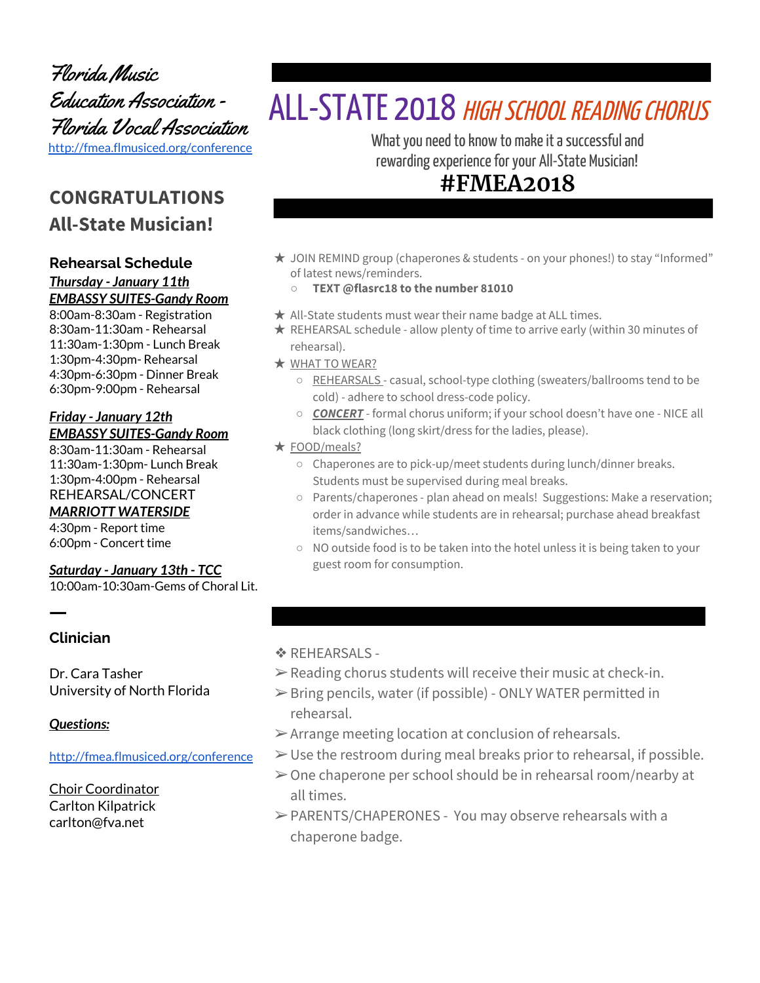Florida Music Education Association - Florida Vocal Association <http://fmea.flmusiced.org/conference>

# **CONGRATULATIONS All-State Musician!**

#### **Rehearsal Schedule** *Thursday - January 11th EMBASSY SUITES-Gandy Room*

8:00am-8:30am - Registration 8:30am-11:30am - Rehearsal 11:30am-1:30pm - Lunch Break 1:30pm-4:30pm- Rehearsal 4:30pm-6:30pm - Dinner Break 6:30pm-9:00pm - Rehearsal

#### *Friday - January 12th EMBASSY SUITES-Gandy Room*

8:30am-11:30am - Rehearsal 11:30am-1:30pm- Lunch Break 1:30pm-4:00pm - Rehearsal REHEARSAL/CONCERT *MARRIOTT WATERSIDE* 4:30pm - Report time

6:00pm - Concert time

# *Saturday - January 13th - TCC*

10:00am-10:30am-Gems of Choral Lit.

### **Clinician**

ㅡ

Dr. Cara Tasher University of North Florida

#### *Questions:*

<http://fmea.flmusiced.org/conference>

Choir Coordinator Carlton Kilpatrick carlton@fva.net

# ALL-STATE 2018 HIGH SCHOOL READING CHORUS

What you need to know to make it a successful and rewarding experience for your All-State Musician!

# **#FMEA2018**

- ★ JOIN REMIND group (chaperones & students on your phones!) to stay "Informed" of latest news/reminders.
	- **TEXT @flasrc18 to the number 81010**
- $\star$  All-State students must wear their name badge at ALL times.
- ★ REHEARSAL schedule allow plenty of time to arrive early (within 30 minutes of rehearsal).
- ★ WHAT TO WEAR?
	- REHEARSALS casual, school-type clothing (sweaters/ballrooms tend to be cold) - adhere to school dress-code policy.
	- *CONCERT* formal chorus uniform; if your school doesn't have one NICE all black clothing (long skirt/dress for the ladies, please).

#### ★ FOOD/meals?

- Chaperones are to pick-up/meet students during lunch/dinner breaks. Students must be supervised during meal breaks.
- Parents/chaperones plan ahead on meals! Suggestions: Make a reservation; order in advance while students are in rehearsal; purchase ahead breakfast items/sandwiches…
- NO outside food is to be taken into the hotel unless it is being taken to your guest room for consumption.

#### **❖ REHEARSALS -**

- $\triangleright$  Reading chorus students will receive their music at check-in.
- $\triangleright$  Bring pencils, water (if possible) ONLY WATER permitted in rehearsal.
- $\triangleright$  Arrange meeting location at conclusion of rehearsals.
- $\triangleright$  Use the restroom during meal breaks prior to rehearsal, if possible.
- $\geq$  One chaperone per school should be in rehearsal room/nearby at all times.
- ➢PARENTS/CHAPERONES You may observe rehearsals with a chaperone badge.